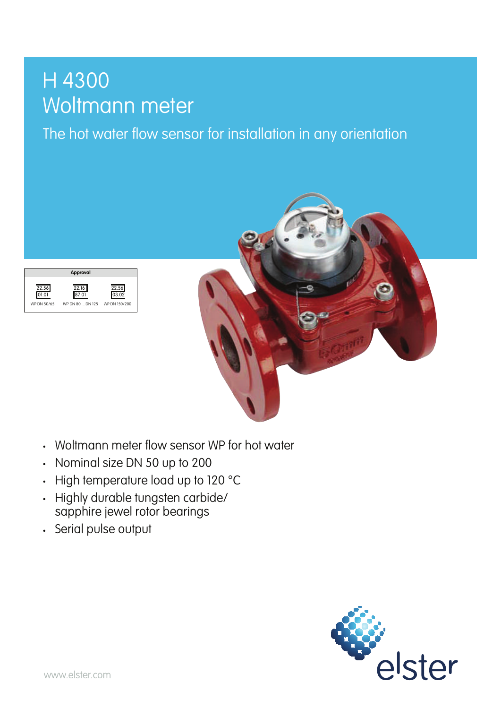## H 4300 Woltmann meter<br>The hot water flow sense

The hot water flow sensor for installation in any orientation





• Woltmann meter flow sensor WP for hot water

 $\frac{h}{h}$ 

- Nominal size DN 50 up to 200
- $\cdot$  High temperature load up to 120 °C
- Highly durable tungsten carbide/ Inginy dorable forigher candida-<br>sapphire jewel rotor bearings  $\cdot$  mymemperance road op 10.120  $\degree$
- Serial pulse output ● ELSTER conText® inscription system